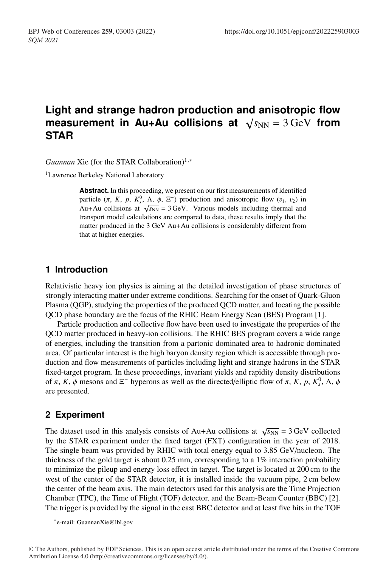# **Light and strange hadron production and anisotropic flow measurement in Au+Au collisions at**  $\sqrt{s_{NN}} = 3 \,\text{GeV}$  from **STAR**

*Guannan* Xie (for the STAR Collaboration)<sup>1,∗</sup>

<sup>1</sup>Lawrence Berkeley National Laboratory

**Abstract.** In this proceeding, we present on our first measurements of identified particle  $(\pi, K, p, K_s^0, \Lambda, \phi, \Xi^-)$  production and anisotropic flow  $(v_1, v_2)$  in Au+Au collisions at  $\sqrt{s_{NN}}$  = 3 GeV. Various models including thermal and transport model calculations are compared to data, these results imply that the matter produced in the 3 GeV Au+Au collisions is considerably different from that at higher energies.

#### **1 Introduction**

Relativistic heavy ion physics is aiming at the detailed investigation of phase structures of strongly interacting matter under extreme conditions. Searching for the onset of Quark-Gluon Plasma (QGP), studying the properties of the produced QCD matter, and locating the possible QCD phase boundary are the focus of the RHIC Beam Energy Scan (BES) Program [1].

Particle production and collective flow have been used to investigate the properties of the QCD matter produced in heavy-ion collisions. The RHIC BES program covers a wide range of energies, including the transition from a partonic dominated area to hadronic dominated area. Of particular interest is the high baryon density region which is accessible through production and flow measurements of particles including light and strange hadrons in the STAR fixed-target program. In these proceedings, invariant yields and rapidity density distributions of π, K, φ mesons and  $\Xi^-$  hyperons as well as the directed/elliptic flow of π, K, p,  $K_s^0$ , Λ, φ are presented.

## **2 Experiment**

The dataset used in this analysis consists of Au+Au collisions at  $\sqrt{s_{NN}} = 3$  GeV collected by the STAR experiment under the fixed target (FXT) configuration in the year of 2018. The single beam was provided by RHIC with total energy equal to 3.85 GeV/nucleon. The thickness of the gold target is about  $0.25$  mm, corresponding to a  $1\%$  interaction probability to minimize the pileup and energy loss effect in target. The target is located at 200 cm to the west of the center of the STAR detector, it is installed inside the vacuum pipe, 2 cm below the center of the beam axis. The main detectors used for this analysis are the Time Projection Chamber (TPC), the Time of Flight (TOF) detector, and the Beam-Beam Counter (BBC) [2]. The trigger is provided by the signal in the east BBC detector and at least five hits in the TOF

<sup>∗</sup>e-mail: GuannanXie@lbl.gov

<sup>©</sup> The Authors, published by EDP Sciences. This is an open access article distributed under the terms of the Creative Commons Attribution License 4.0 (http://creativecommons.org/licenses/by/4.0/).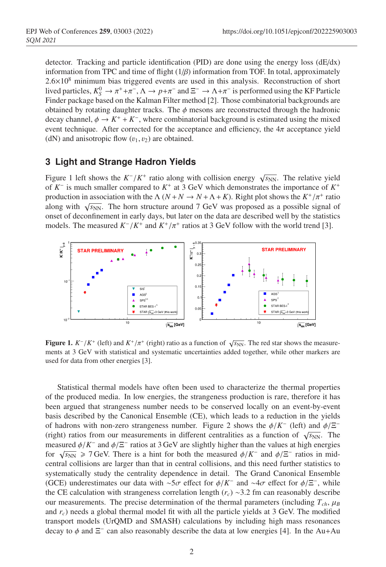detector. Tracking and particle identification (PID) are done using the energy loss (dE/dx) information from TPC and time of flight  $(1/\beta)$  information from TOF. In total, approximately  $2.6\times10^8$  minimum bias triggered events are used in this analysis. Reconstruction of short lived particles,  $K_S^0 \to \pi^+ + \pi^-$ ,  $\Lambda \to p + \pi^-$  and  $\Xi^- \to \Lambda + \pi^-$  is performed using the KF Particle Finder package based on the Kalman Filter method [2]. Those combinatorial backgrounds are obtained by rotating daughter tracks. The  $\phi$  mesons are reconstructed through the hadronic decay channel,  $\phi \to K^+ + K^-$ , where combinatorial background is estimated using the mixed event technique. After corrected for the acceptance and efficiency, the  $4\pi$  acceptance yield (dN) and anisotropic flow  $(v_1, v_2)$  are obtained.

#### **3 Light and Strange Hadron Yields**

Figure 1 left shows the  $K^-/K^+$  ratio along with collision energy  $\sqrt{s_{NN}}$ . The relative yield of *K*<sup>−</sup> is much smaller compared to *K*<sup>+</sup> at 3 GeV which demonstrates the importance of *K*<sup>+</sup> production in association with the  $\Lambda$  ( $N + N \rightarrow N + \Lambda + K$ ). Right plot shows the  $K^+/\pi^+$  ratio along with  $\sqrt{s_{NN}}$ . The horn structure around 7 GeV was proposed as a possible signal of onset of deconfinement in early days, but later on the data are described well by the statistics models. The measured  $K^-/K^+$  and  $K^+/\pi^+$  ratios at 3 GeV follow with the world trend [3].



**Figure 1.**  $K^-/K^+$  (left) and  $K^+/\pi^+$  (right) ratio as a function of  $\sqrt{s_{NN}}$ . The red star shows the measurements at 3 GeV with statistical and systematic uncertainties added together, while other markers are used for data from other energies [3].

Statistical thermal models have often been used to characterize the thermal properties of the produced media. In low energies, the strangeness production is rare, therefore it has been argued that strangeness number needs to be conserved locally on an event-by-event basis described by the Canonical Ensemble (CE), which leads to a reduction in the yields of hadrons with non-zero strangeness number. Figure 2 shows the  $\phi/K^-$  (left) and  $\phi/\Xi^-$ (right) ratios from our measurements in different centralities as a function of  $\sqrt{s_{NN}}$ . The measured  $\phi/K^-$  and  $\phi/\Xi^-$  ratios at 3 GeV are slightly higher than the values at high energies for  $\sqrt{s_{NN}} \ge 7$  GeV. There is a hint for both the measured  $\phi/K^-$  and  $\phi/\Xi^-$  ratios in midcentral collisions are larger than that in central collisions, and this need further statistics to systematically study the centrality dependence in detail. The Grand Canonical Ensemble (GCE) underestimates our data with ∼5σ effect for  $\phi/K^-$  and ∼4σ effect for  $\phi/\Xi^-$ , while the CE calculation with strangeness correlation length (*rc*) ∼3.2 fm can reasonably describe our measurements. The precise determination of the thermal parameters (including  $T_{ch}$ ,  $\mu_B$ and *rc*) needs a global thermal model fit with all the particle yields at 3 GeV. The modified transport models (UrQMD and SMASH) calculations by including high mass resonances decay to  $\phi$  and  $\Xi^-$  can also reasonably describe the data at low energies [4]. In the Au+Au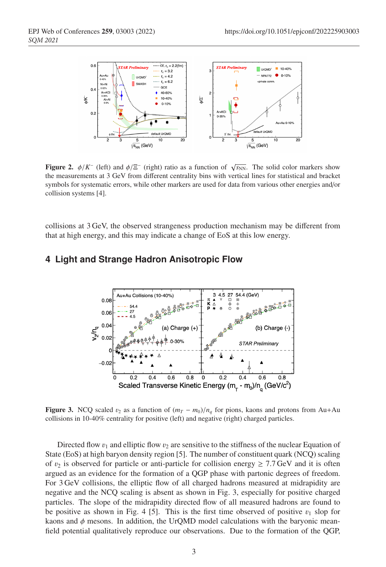

**Figure 2.**  $\phi/K^-$  (left) and  $\phi/\Xi^-$  (right) ratio as a function of  $\sqrt{s_{NN}}$ . The solid color markers show the measurements at 3 GeV from different centrality bins with vertical lines for statistical and bracket symbols for systematic errors, while other markers are used for data from various other energies and/or collision systems [4].

collisions at 3 GeV, the observed strangeness production mechanism may be different from that at high energy, and this may indicate a change of EoS at this low energy.

#### **4 Light and Strange Hadron Anisotropic Flow**



**Figure 3.** NCQ scaled  $v_2$  as a function of  $(m_T - m_0)/n_q$  for pions, kaons and protons from Au+Au collisions in 10-40% centrality for positive (left) and negative (right) charged particles.

Directed flow  $v_1$  and elliptic flow  $v_2$  are sensitive to the stiffness of the nuclear Equation of State (EoS) at high baryon density region [5]. The number of constituent quark (NCQ) scaling of  $v_2$  is observed for particle or anti-particle for collision energy  $\geq 7.7$  GeV and it is often argued as an evidence for the formation of a QGP phase with partonic degrees of freedom. For 3 GeV collisions, the elliptic flow of all charged hadrons measured at midrapidity are negative and the NCQ scaling is absent as shown in Fig. 3, especially for positive charged particles. The slope of the midrapidity directed flow of all measured hadrons are found to be positive as shown in Fig. 4 [5]. This is the first time observed of positive  $v_1$  slop for kaons and  $\phi$  mesons. In addition, the UrQMD model calculations with the baryonic meanfield potential qualitatively reproduce our observations. Due to the formation of the QGP,